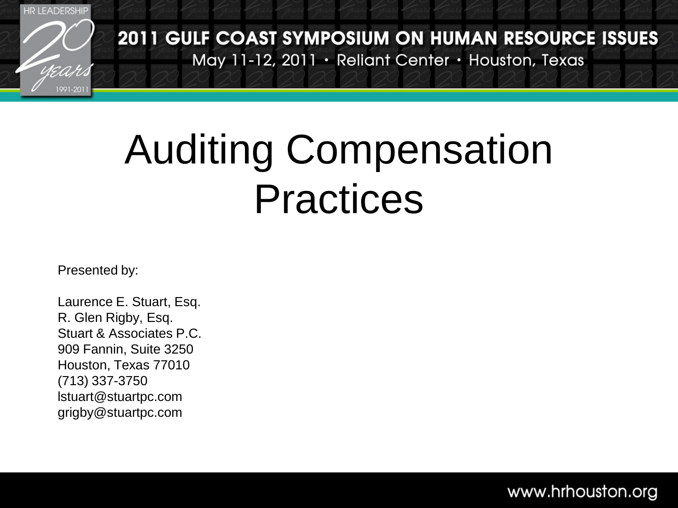

2011 GULF COAST SYMPOSIUM ON HUMAN RESOURCE ISSUES May 11-12, 2011 · Reliant Center · Houston, Texas

### Auditing Compensation Practices

Presented by:

Laurence E. Stuart, Esq. R. Glen Rigby, Esq. Stuart & Associates P.C. 909 Fannin, Suite 3250 Houston, Texas 77010 (713) 337-3750 lstuart@stuartpc.com grigby@stuartpc.com

#### www.hrhouston.org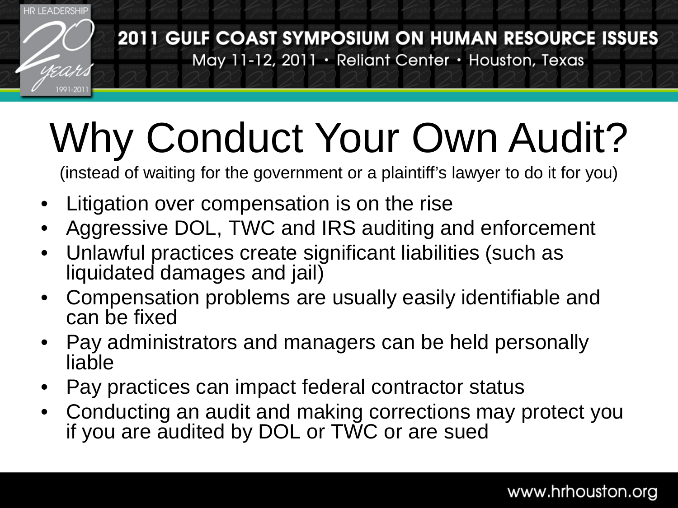

# Why Conduct Your Own Audit?

(instead of waiting for the government or a plaintiff's lawyer to do it for you)

- Litigation over compensation is on the rise
- Aggressive DOL, TWC and IRS auditing and enforcement
- Unlawful practices create significant liabilities (such as liquidated damages and jail)
- Compensation problems are usually easily identifiable and can be fixed
- Pay administrators and managers can be held personally liable
- Pay practices can impact federal contractor status
- Conducting an audit and making corrections may protect you if you are audited by DOL or TWC or are sued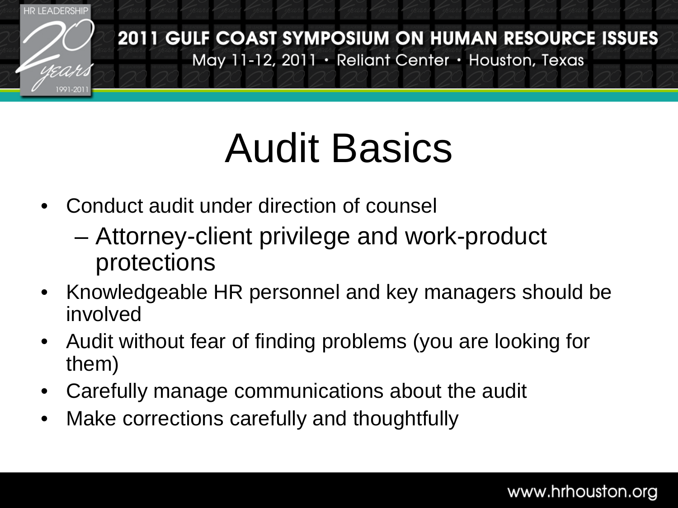

### Audit Basics

- Conduct audit under direction of counsel
	- Attorney-client privilege and work-product protections
- Knowledgeable HR personnel and key managers should be involved
- Audit without fear of finding problems (you are looking for them)
- Carefully manage communications about the audit
- Make corrections carefully and thoughtfully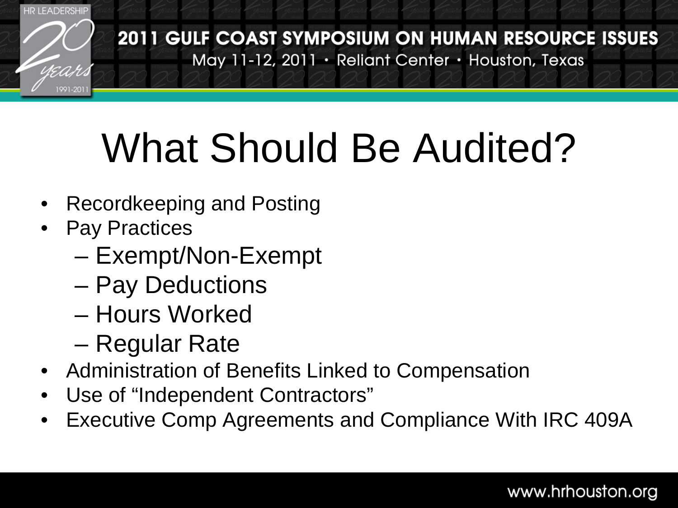

## What Should Be Audited?

- Recordkeeping and Posting
- **Pay Practices** 
	- Exempt/Non-Exempt
	- Pay Deductions
	- Hours Worked
	- Regular Rate
- Administration of Benefits Linked to Compensation
- Use of "Independent Contractors"
- Executive Comp Agreements and Compliance With IRC 409A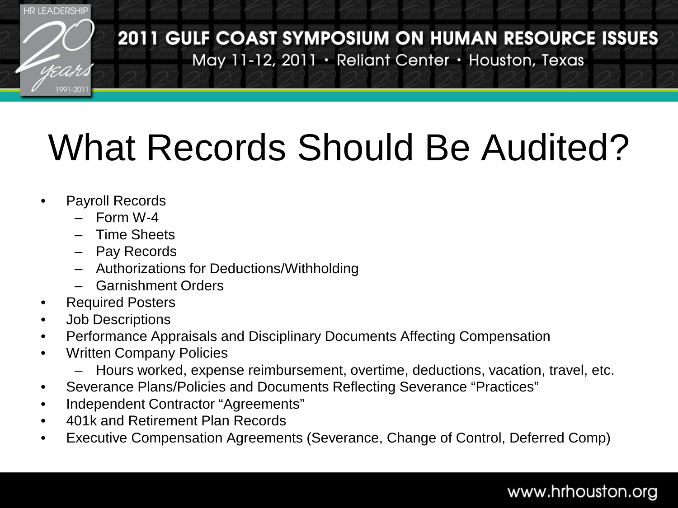

2011 GULF COAST SYMPOSIUM ON HUMAN RESOURCE ISSUES May 11-12, 2011 · Reliant Center · Houston, Texas

#### What Records Should Be Audited?

- Payroll Records
	- Form W-4
	- Time Sheets
	- Pay Records
	- Authorizations for Deductions/Withholding
	- Garnishment Orders
- Required Posters
- Job Descriptions
- Performance Appraisals and Disciplinary Documents Affecting Compensation
- Written Company Policies
	- Hours worked, expense reimbursement, overtime, deductions, vacation, travel, etc.
- Severance Plans/Policies and Documents Reflecting Severance "Practices"
- Independent Contractor "Agreements"
- 401k and Retirement Plan Records
- Executive Compensation Agreements (Severance, Change of Control, Deferred Comp)

#### www.hrhouston.org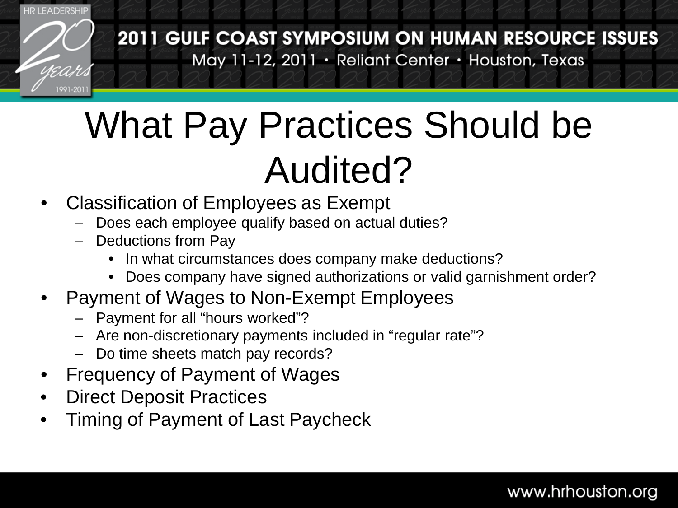

2011 GULF COAST SYMPOSIUM ON HUMAN RESOURCE ISSUES May 11-12, 2011 · Reliant Center · Houston, Texas

#### What Pay Practices Should be Audited?

- Classification of Employees as Exempt
	- Does each employee qualify based on actual duties?
	- Deductions from Pay
		- In what circumstances does company make deductions?
		- Does company have signed authorizations or valid garnishment order?
- Payment of Wages to Non-Exempt Employees
	- Payment for all "hours worked"?
	- Are non-discretionary payments included in "regular rate"?
	- Do time sheets match pay records?
- Frequency of Payment of Wages
- **Direct Deposit Practices**
- Timing of Payment of Last Paycheck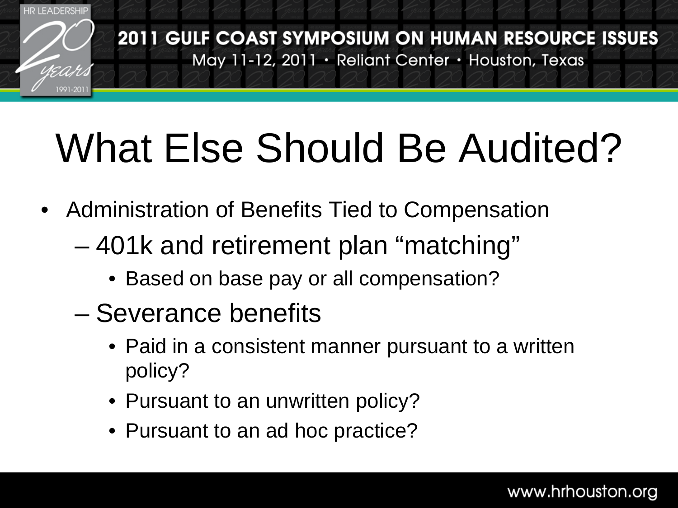

## What Else Should Be Audited?

- Administration of Benefits Tied to Compensation
	- 401k and retirement plan "matching"
		- Based on base pay or all compensation?
	- Severance benefits
		- Paid in a consistent manner pursuant to a written policy?
		- Pursuant to an unwritten policy?
		- Pursuant to an ad hoc practice?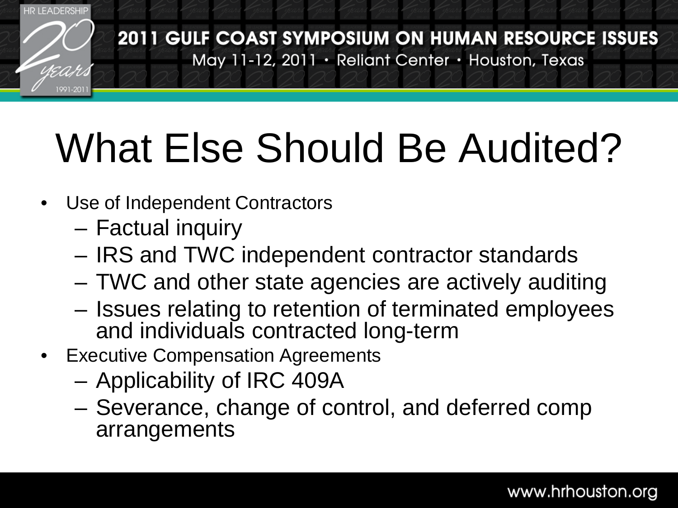

## What Else Should Be Audited?

- Use of Independent Contractors
	- Factual inquiry
	- IRS and TWC independent contractor standards
	- TWC and other state agencies are actively auditing
	- Issues relating to retention of terminated employees and individuals contracted long-term
- Executive Compensation Agreements
	- Applicability of IRC 409A
	- Severance, change of control, and deferred comp arrangements